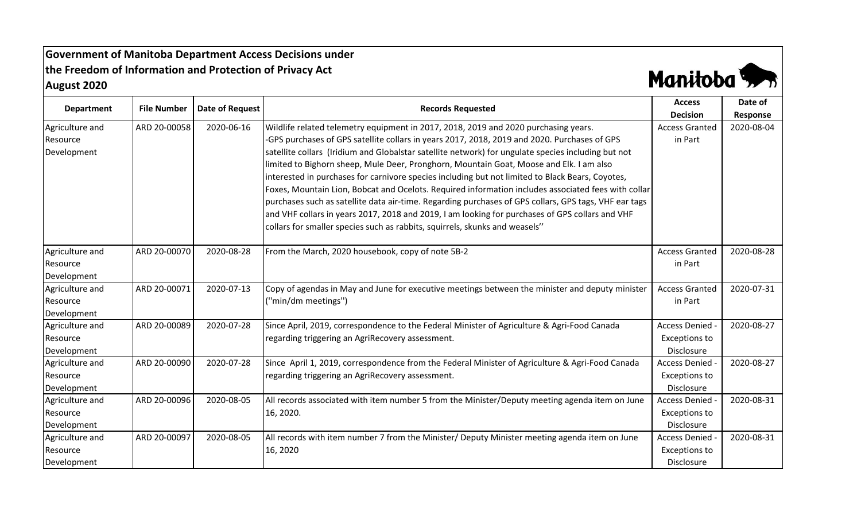**Government of Manitoba Department Access Decisions under the Freedom of Information and Protection of Privacy Act August 2020**



| <b>Department</b> | <b>File Number</b> | <b>Date of Request</b> | <b>Records Requested</b>                                                                              | <b>Access</b>         | Date of    |
|-------------------|--------------------|------------------------|-------------------------------------------------------------------------------------------------------|-----------------------|------------|
|                   |                    |                        |                                                                                                       | <b>Decision</b>       | Response   |
| Agriculture and   | ARD 20-00058       | 2020-06-16             | Wildlife related telemetry equipment in 2017, 2018, 2019 and 2020 purchasing years.                   | <b>Access Granted</b> | 2020-08-04 |
| Resource          |                    |                        | GPS purchases of GPS satellite collars in years 2017, 2018, 2019 and 2020. Purchases of GPS           | in Part               |            |
| Development       |                    |                        | satellite collars (Iridium and Globalstar satellite network) for ungulate species including but not   |                       |            |
|                   |                    |                        | limited to Bighorn sheep, Mule Deer, Pronghorn, Mountain Goat, Moose and Elk. I am also               |                       |            |
|                   |                    |                        | interested in purchases for carnivore species including but not limited to Black Bears, Coyotes,      |                       |            |
|                   |                    |                        | Foxes, Mountain Lion, Bobcat and Ocelots. Required information includes associated fees with collar   |                       |            |
|                   |                    |                        | purchases such as satellite data air-time. Regarding purchases of GPS collars, GPS tags, VHF ear tags |                       |            |
|                   |                    |                        | and VHF collars in years 2017, 2018 and 2019, I am looking for purchases of GPS collars and VHF       |                       |            |
|                   |                    |                        | collars for smaller species such as rabbits, squirrels, skunks and weasels"                           |                       |            |
| Agriculture and   | ARD 20-00070       | 2020-08-28             | From the March, 2020 housebook, copy of note 5B-2                                                     | <b>Access Granted</b> | 2020-08-28 |
| Resource          |                    |                        |                                                                                                       | in Part               |            |
| Development       |                    |                        |                                                                                                       |                       |            |
| Agriculture and   | ARD 20-00071       | 2020-07-13             | Copy of agendas in May and June for executive meetings between the minister and deputy minister       | <b>Access Granted</b> | 2020-07-31 |
| Resource          |                    |                        | ("min/dm meetings")                                                                                   | in Part               |            |
| Development       |                    |                        |                                                                                                       |                       |            |
| Agriculture and   | ARD 20-00089       | 2020-07-28             | Since April, 2019, correspondence to the Federal Minister of Agriculture & Agri-Food Canada           | Access Denied         | 2020-08-27 |
| Resource          |                    |                        | regarding triggering an AgriRecovery assessment.                                                      | <b>Exceptions to</b>  |            |
| Development       |                    |                        |                                                                                                       | Disclosure            |            |
| Agriculture and   | ARD 20-00090       | 2020-07-28             | Since April 1, 2019, correspondence from the Federal Minister of Agriculture & Agri-Food Canada       | <b>Access Denied</b>  | 2020-08-27 |
| Resource          |                    |                        | regarding triggering an AgriRecovery assessment.                                                      | <b>Exceptions to</b>  |            |
| Development       |                    |                        |                                                                                                       | Disclosure            |            |
| Agriculture and   | ARD 20-00096       | 2020-08-05             | All records associated with item number 5 from the Minister/Deputy meeting agenda item on June        | Access Denied         | 2020-08-31 |
| Resource          |                    |                        | 16, 2020.                                                                                             | <b>Exceptions to</b>  |            |
| Development       |                    |                        |                                                                                                       | Disclosure            |            |
| Agriculture and   | ARD 20-00097       | 2020-08-05             | All records with item number 7 from the Minister/ Deputy Minister meeting agenda item on June         | Access Denied         | 2020-08-31 |
| Resource          |                    |                        | 16, 2020                                                                                              | <b>Exceptions to</b>  |            |
| Development       |                    |                        |                                                                                                       | Disclosure            |            |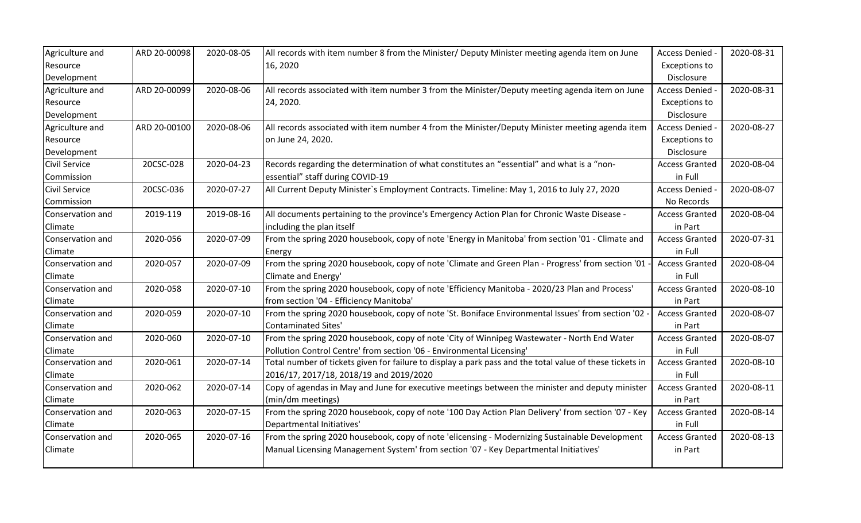| Agriculture and      | ARD 20-00098 | 2020-08-05 | All records with item number 8 from the Minister/ Deputy Minister meeting agenda item on June            | Access Denied -       | 2020-08-31 |
|----------------------|--------------|------------|----------------------------------------------------------------------------------------------------------|-----------------------|------------|
| Resource             |              |            | 16, 2020                                                                                                 | <b>Exceptions to</b>  |            |
| Development          |              |            |                                                                                                          | Disclosure            |            |
| Agriculture and      | ARD 20-00099 | 2020-08-06 | All records associated with item number 3 from the Minister/Deputy meeting agenda item on June           | Access Denied         | 2020-08-31 |
| Resource             |              |            | 24, 2020.                                                                                                | <b>Exceptions to</b>  |            |
| Development          |              |            |                                                                                                          | Disclosure            |            |
| Agriculture and      | ARD 20-00100 | 2020-08-06 | All records associated with item number 4 from the Minister/Deputy Minister meeting agenda item          | Access Denied -       | 2020-08-27 |
| Resource             |              |            | on June 24, 2020.                                                                                        | <b>Exceptions to</b>  |            |
| Development          |              |            |                                                                                                          | Disclosure            |            |
| Civil Service        | 20CSC-028    | 2020-04-23 | Records regarding the determination of what constitutes an "essential" and what is a "non-               | <b>Access Granted</b> | 2020-08-04 |
| Commission           |              |            | essential" staff during COVID-19                                                                         | in Full               |            |
| <b>Civil Service</b> | 20CSC-036    | 2020-07-27 | All Current Deputy Minister's Employment Contracts. Timeline: May 1, 2016 to July 27, 2020               | Access Denied -       | 2020-08-07 |
| Commission           |              |            |                                                                                                          | No Records            |            |
| Conservation and     | 2019-119     | 2019-08-16 | All documents pertaining to the province's Emergency Action Plan for Chronic Waste Disease -             | <b>Access Granted</b> | 2020-08-04 |
| Climate              |              |            | including the plan itself                                                                                | in Part               |            |
| Conservation and     | 2020-056     | 2020-07-09 | From the spring 2020 housebook, copy of note 'Energy in Manitoba' from section '01 - Climate and         | <b>Access Granted</b> | 2020-07-31 |
| Climate              |              |            | Energy                                                                                                   | in Full               |            |
| Conservation and     | 2020-057     | 2020-07-09 | From the spring 2020 housebook, copy of note 'Climate and Green Plan - Progress' from section '01        | <b>Access Granted</b> | 2020-08-04 |
| Climate              |              |            | Climate and Energy'                                                                                      | in Full               |            |
| Conservation and     | 2020-058     | 2020-07-10 | From the spring 2020 housebook, copy of note 'Efficiency Manitoba - 2020/23 Plan and Process'            | <b>Access Granted</b> | 2020-08-10 |
| Climate              |              |            | from section '04 - Efficiency Manitoba'                                                                  | in Part               |            |
| Conservation and     | 2020-059     | 2020-07-10 | From the spring 2020 housebook, copy of note 'St. Boniface Environmental Issues' from section '02        | <b>Access Granted</b> | 2020-08-07 |
| Climate              |              |            | <b>Contaminated Sites'</b>                                                                               | in Part               |            |
| Conservation and     | 2020-060     | 2020-07-10 | From the spring 2020 housebook, copy of note 'City of Winnipeg Wastewater - North End Water              | <b>Access Granted</b> | 2020-08-07 |
| Climate              |              |            | Pollution Control Centre' from section '06 - Environmental Licensing'                                    | in Full               |            |
| Conservation and     | 2020-061     | 2020-07-14 | Total number of tickets given for failure to display a park pass and the total value of these tickets in | <b>Access Granted</b> | 2020-08-10 |
| Climate              |              |            | 2016/17, 2017/18, 2018/19 and 2019/2020                                                                  | in Full               |            |
| Conservation and     | 2020-062     | 2020-07-14 | Copy of agendas in May and June for executive meetings between the minister and deputy minister          | <b>Access Granted</b> | 2020-08-11 |
| Climate              |              |            | (min/dm meetings)                                                                                        | in Part               |            |
| Conservation and     | 2020-063     | 2020-07-15 | From the spring 2020 housebook, copy of note '100 Day Action Plan Delivery' from section '07 - Key       | <b>Access Granted</b> | 2020-08-14 |
| Climate              |              |            | Departmental Initiatives'                                                                                | in Full               |            |
| Conservation and     | 2020-065     | 2020-07-16 | From the spring 2020 housebook, copy of note 'elicensing - Modernizing Sustainable Development           | <b>Access Granted</b> | 2020-08-13 |
| Climate              |              |            | Manual Licensing Management System' from section '07 - Key Departmental Initiatives'                     | in Part               |            |
|                      |              |            |                                                                                                          |                       |            |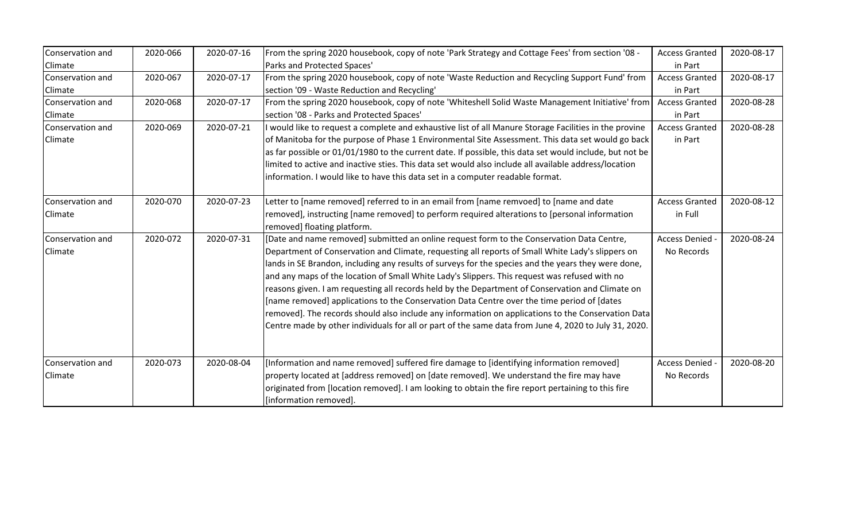| Conservation and | 2020-066 | 2020-07-16 | From the spring 2020 housebook, copy of note 'Park Strategy and Cottage Fees' from section '08 -        | <b>Access Granted</b> | 2020-08-17 |
|------------------|----------|------------|---------------------------------------------------------------------------------------------------------|-----------------------|------------|
| Climate          |          |            | Parks and Protected Spaces'                                                                             | in Part               |            |
| Conservation and | 2020-067 | 2020-07-17 | From the spring 2020 housebook, copy of note 'Waste Reduction and Recycling Support Fund' from          | <b>Access Granted</b> | 2020-08-17 |
| <b>Climate</b>   |          |            | section '09 - Waste Reduction and Recycling'                                                            | in Part               |            |
| Conservation and | 2020-068 | 2020-07-17 | From the spring 2020 housebook, copy of note 'Whiteshell Solid Waste Management Initiative' from        | <b>Access Granted</b> | 2020-08-28 |
| Climate          |          |            | section '08 - Parks and Protected Spaces'                                                               | in Part               |            |
| Conservation and | 2020-069 | 2020-07-21 | I would like to request a complete and exhaustive list of all Manure Storage Facilities in the provine  | <b>Access Granted</b> | 2020-08-28 |
| Climate          |          |            | of Manitoba for the purpose of Phase 1 Environmental Site Assessment. This data set would go back       | in Part               |            |
|                  |          |            | as far possible or 01/01/1980 to the current date. If possible, this data set would include, but not be |                       |            |
|                  |          |            | limited to active and inactive sties. This data set would also include all available address/location   |                       |            |
|                  |          |            | information. I would like to have this data set in a computer readable format.                          |                       |            |
|                  |          |            |                                                                                                         |                       |            |
| Conservation and | 2020-070 | 2020-07-23 | Letter to [name removed] referred to in an email from [name remvoed] to [name and date                  | <b>Access Granted</b> | 2020-08-12 |
| Climate          |          |            | removed], instructing [name removed] to perform required alterations to [personal information           | in Full               |            |
|                  |          |            | removed] floating platform.                                                                             |                       |            |
| Conservation and | 2020-072 | 2020-07-31 | [Date and name removed] submitted an online request form to the Conservation Data Centre,               | Access Denied         | 2020-08-24 |
| <b>Climate</b>   |          |            | Department of Conservation and Climate, requesting all reports of Small White Lady's slippers on        | No Records            |            |
|                  |          |            | lands in SE Brandon, including any results of surveys for the species and the years they were done,     |                       |            |
|                  |          |            | and any maps of the location of Small White Lady's Slippers. This request was refused with no           |                       |            |
|                  |          |            | reasons given. I am requesting all records held by the Department of Conservation and Climate on        |                       |            |
|                  |          |            | [name removed] applications to the Conservation Data Centre over the time period of [dates              |                       |            |
|                  |          |            | removed]. The records should also include any information on applications to the Conservation Data      |                       |            |
|                  |          |            | Centre made by other individuals for all or part of the same data from June 4, 2020 to July 31, 2020.   |                       |            |
|                  |          |            |                                                                                                         |                       |            |
|                  |          |            |                                                                                                         |                       |            |
| Conservation and | 2020-073 | 2020-08-04 | [Information and name removed] suffered fire damage to [identifying information removed]                | Access Denied -       | 2020-08-20 |
| <b>Climate</b>   |          |            | property located at [address removed] on [date removed]. We understand the fire may have                | No Records            |            |
|                  |          |            | originated from [location removed]. I am looking to obtain the fire report pertaining to this fire      |                       |            |
|                  |          |            |                                                                                                         |                       |            |
|                  |          |            | [information removed].                                                                                  |                       |            |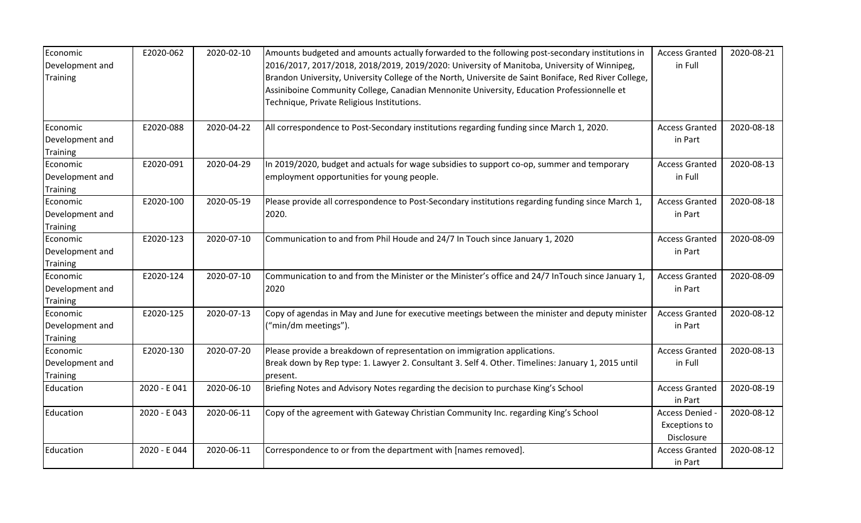| Economic<br>Development and<br><b>Training</b> | E2020-062    | 2020-02-10 | Amounts budgeted and amounts actually forwarded to the following post-secondary institutions in<br>2016/2017, 2017/2018, 2018/2019, 2019/2020: University of Manitoba, University of Winnipeg,<br>Brandon University, University College of the North, Universite de Saint Boniface, Red River College,<br>Assiniboine Community College, Canadian Mennonite University, Education Professionnelle et<br>Technique, Private Religious Institutions. | <b>Access Granted</b><br>in Full                      | 2020-08-21 |
|------------------------------------------------|--------------|------------|-----------------------------------------------------------------------------------------------------------------------------------------------------------------------------------------------------------------------------------------------------------------------------------------------------------------------------------------------------------------------------------------------------------------------------------------------------|-------------------------------------------------------|------------|
| Economic<br>Development and<br>Training        | E2020-088    | 2020-04-22 | All correspondence to Post-Secondary institutions regarding funding since March 1, 2020.                                                                                                                                                                                                                                                                                                                                                            | <b>Access Granted</b><br>in Part                      | 2020-08-18 |
| Economic<br>Development and<br>Training        | E2020-091    | 2020-04-29 | In 2019/2020, budget and actuals for wage subsidies to support co-op, summer and temporary<br>employment opportunities for young people.                                                                                                                                                                                                                                                                                                            | <b>Access Granted</b><br>in Full                      | 2020-08-13 |
| Economic<br>Development and<br><b>Training</b> | E2020-100    | 2020-05-19 | Please provide all correspondence to Post-Secondary institutions regarding funding since March 1,<br>2020.                                                                                                                                                                                                                                                                                                                                          | <b>Access Granted</b><br>in Part                      | 2020-08-18 |
| Economic<br>Development and<br><b>Training</b> | E2020-123    | 2020-07-10 | Communication to and from Phil Houde and 24/7 In Touch since January 1, 2020                                                                                                                                                                                                                                                                                                                                                                        | <b>Access Granted</b><br>in Part                      | 2020-08-09 |
| Economic<br>Development and<br>Training        | E2020-124    | 2020-07-10 | Communication to and from the Minister or the Minister's office and 24/7 InTouch since January 1,<br>2020                                                                                                                                                                                                                                                                                                                                           | <b>Access Granted</b><br>in Part                      | 2020-08-09 |
| Economic<br>Development and<br><b>Training</b> | E2020-125    | 2020-07-13 | Copy of agendas in May and June for executive meetings between the minister and deputy minister<br>("min/dm meetings").                                                                                                                                                                                                                                                                                                                             | <b>Access Granted</b><br>in Part                      | 2020-08-12 |
| Economic<br>Development and<br><b>Training</b> | E2020-130    | 2020-07-20 | Please provide a breakdown of representation on immigration applications.<br>Break down by Rep type: 1. Lawyer 2. Consultant 3. Self 4. Other. Timelines: January 1, 2015 until<br>present.                                                                                                                                                                                                                                                         | <b>Access Granted</b><br>in Full                      | 2020-08-13 |
| Education                                      | 2020 - E 041 | 2020-06-10 | Briefing Notes and Advisory Notes regarding the decision to purchase King's School                                                                                                                                                                                                                                                                                                                                                                  | <b>Access Granted</b><br>in Part                      | 2020-08-19 |
| Education                                      | 2020 - E043  | 2020-06-11 | Copy of the agreement with Gateway Christian Community Inc. regarding King's School                                                                                                                                                                                                                                                                                                                                                                 | Access Denied -<br><b>Exceptions to</b><br>Disclosure | 2020-08-12 |
| Education                                      | 2020 - E 044 | 2020-06-11 | Correspondence to or from the department with [names removed].                                                                                                                                                                                                                                                                                                                                                                                      | <b>Access Granted</b><br>in Part                      | 2020-08-12 |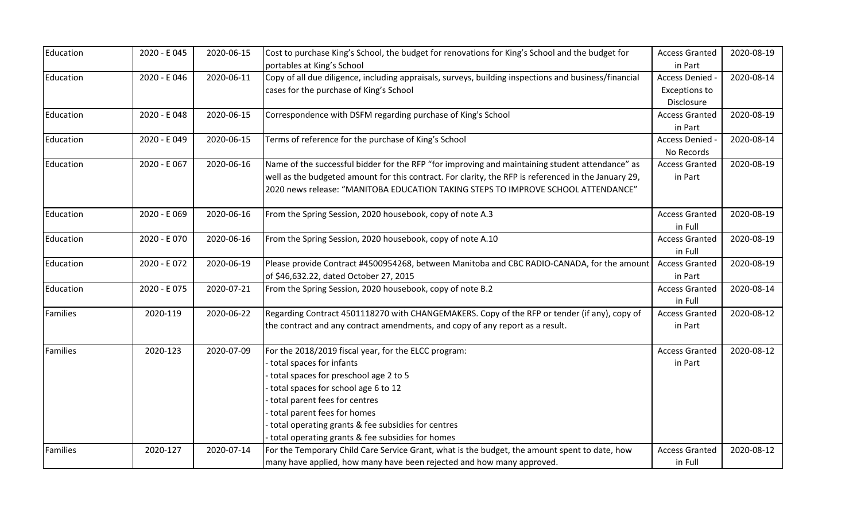| Education | 2020 - E 045 | 2020-06-15 | Cost to purchase King's School, the budget for renovations for King's School and the budget for       | <b>Access Granted</b> | 2020-08-19 |
|-----------|--------------|------------|-------------------------------------------------------------------------------------------------------|-----------------------|------------|
|           |              |            | portables at King's School                                                                            | in Part               |            |
| Education | 2020 - E 046 | 2020-06-11 | Copy of all due diligence, including appraisals, surveys, building inspections and business/financial | Access Denied -       | 2020-08-14 |
|           |              |            | cases for the purchase of King's School                                                               | <b>Exceptions to</b>  |            |
|           |              |            |                                                                                                       | Disclosure            |            |
| Education | 2020 - E 048 | 2020-06-15 | Correspondence with DSFM regarding purchase of King's School                                          | <b>Access Granted</b> | 2020-08-19 |
|           |              |            |                                                                                                       | in Part               |            |
| Education | 2020 - E 049 | 2020-06-15 | Terms of reference for the purchase of King's School                                                  | Access Denied -       | 2020-08-14 |
|           |              |            |                                                                                                       | No Records            |            |
| Education | 2020 - E 067 | 2020-06-16 | Name of the successful bidder for the RFP "for improving and maintaining student attendance" as       | <b>Access Granted</b> | 2020-08-19 |
|           |              |            | well as the budgeted amount for this contract. For clarity, the RFP is referenced in the January 29,  | in Part               |            |
|           |              |            | 2020 news release: "MANITOBA EDUCATION TAKING STEPS TO IMPROVE SCHOOL ATTENDANCE"                     |                       |            |
| Education | 2020 - E 069 | 2020-06-16 | From the Spring Session, 2020 housebook, copy of note A.3                                             | <b>Access Granted</b> | 2020-08-19 |
|           |              |            |                                                                                                       | in Full               |            |
| Education | 2020 - E 070 | 2020-06-16 | From the Spring Session, 2020 housebook, copy of note A.10                                            | <b>Access Granted</b> | 2020-08-19 |
|           |              |            |                                                                                                       | in Full               |            |
| Education | 2020 - E072  | 2020-06-19 | Please provide Contract #4500954268, between Manitoba and CBC RADIO-CANADA, for the amount            | <b>Access Granted</b> | 2020-08-19 |
|           |              |            | of \$46,632.22, dated October 27, 2015                                                                | in Part               |            |
| Education | 2020 - E075  | 2020-07-21 | From the Spring Session, 2020 housebook, copy of note B.2                                             | <b>Access Granted</b> | 2020-08-14 |
|           |              |            |                                                                                                       | in Full               |            |
| Families  | 2020-119     | 2020-06-22 | Regarding Contract 4501118270 with CHANGEMAKERS. Copy of the RFP or tender (if any), copy of          | <b>Access Granted</b> | 2020-08-12 |
|           |              |            | the contract and any contract amendments, and copy of any report as a result.                         | in Part               |            |
| Families  | 2020-123     | 2020-07-09 | For the 2018/2019 fiscal year, for the ELCC program:                                                  | <b>Access Granted</b> | 2020-08-12 |
|           |              |            | total spaces for infants                                                                              | in Part               |            |
|           |              |            | total spaces for preschool age 2 to 5                                                                 |                       |            |
|           |              |            | total spaces for school age 6 to 12                                                                   |                       |            |
|           |              |            | total parent fees for centres                                                                         |                       |            |
|           |              |            | total parent fees for homes                                                                           |                       |            |
|           |              |            | total operating grants & fee subsidies for centres                                                    |                       |            |
|           |              |            | total operating grants & fee subsidies for homes                                                      |                       |            |
| Families  | 2020-127     | 2020-07-14 | For the Temporary Child Care Service Grant, what is the budget, the amount spent to date, how         | <b>Access Granted</b> | 2020-08-12 |
|           |              |            | many have applied, how many have been rejected and how many approved.                                 | in Full               |            |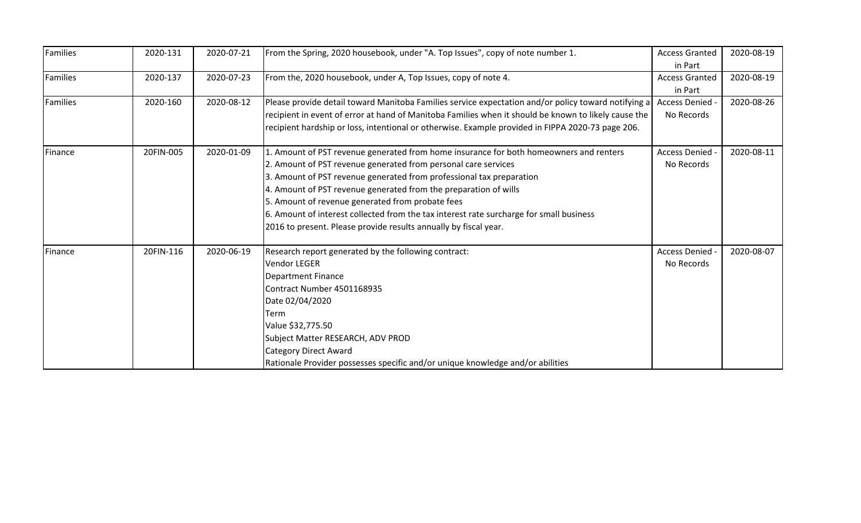| Families | 2020-131  | 2020-07-21 | From the Spring, 2020 housebook, under "A. Top Issues", copy of note number 1.                       | <b>Access Granted</b> | 2020-08-19 |
|----------|-----------|------------|------------------------------------------------------------------------------------------------------|-----------------------|------------|
|          |           |            |                                                                                                      | in Part               |            |
| Families | 2020-137  | 2020-07-23 | From the, 2020 housebook, under A, Top Issues, copy of note 4.                                       | <b>Access Granted</b> | 2020-08-19 |
|          |           |            |                                                                                                      | in Part               |            |
| Families | 2020-160  | 2020-08-12 | Please provide detail toward Manitoba Families service expectation and/or policy toward notifying a  | Access Denied -       | 2020-08-26 |
|          |           |            | recipient in event of error at hand of Manitoba Families when it should be known to likely cause the | No Records            |            |
|          |           |            | recipient hardship or loss, intentional or otherwise. Example provided in FIPPA 2020-73 page 206.    |                       |            |
| Finance  | 20FIN-005 | 2020-01-09 | 1. Amount of PST revenue generated from home insurance for both homeowners and renters               | Access Denied -       | 2020-08-11 |
|          |           |            | 2. Amount of PST revenue generated from personal care services                                       | No Records            |            |
|          |           |            | 3. Amount of PST revenue generated from professional tax preparation                                 |                       |            |
|          |           |            | 4. Amount of PST revenue generated from the preparation of wills                                     |                       |            |
|          |           |            | 5. Amount of revenue generated from probate fees                                                     |                       |            |
|          |           |            | 6. Amount of interest collected from the tax interest rate surcharge for small business              |                       |            |
|          |           |            | 2016 to present. Please provide results annually by fiscal year.                                     |                       |            |
| Finance  | 20FIN-116 | 2020-06-19 | Research report generated by the following contract:                                                 | <b>Access Denied</b>  | 2020-08-07 |
|          |           |            | <b>Vendor LEGER</b>                                                                                  | No Records            |            |
|          |           |            | <b>Department Finance</b>                                                                            |                       |            |
|          |           |            | Contract Number 4501168935                                                                           |                       |            |
|          |           |            | Date 02/04/2020                                                                                      |                       |            |
|          |           |            | Term                                                                                                 |                       |            |
|          |           |            | Value \$32,775.50                                                                                    |                       |            |
|          |           |            | Subject Matter RESEARCH, ADV PROD                                                                    |                       |            |
|          |           |            | <b>Category Direct Award</b>                                                                         |                       |            |
|          |           |            | Rationale Provider possesses specific and/or unique knowledge and/or abilities                       |                       |            |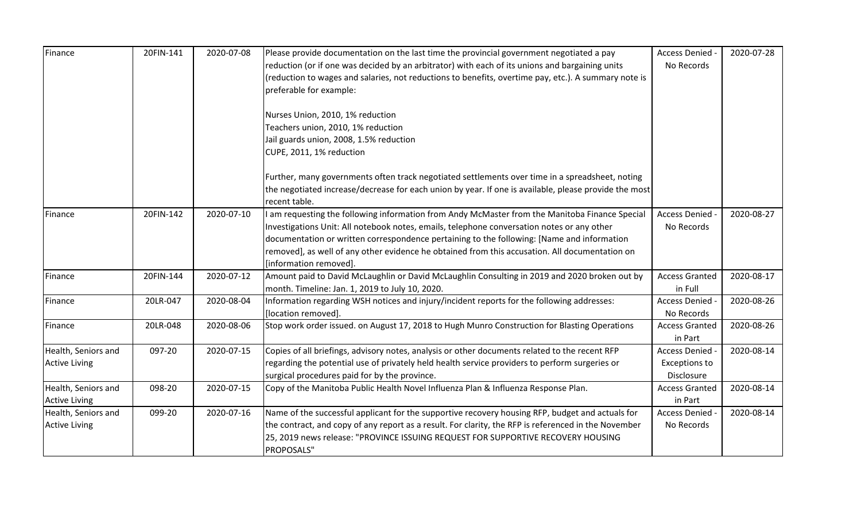| Finance              | 20FIN-141 | 2020-07-08 | Please provide documentation on the last time the provincial government negotiated a pay                                 | Access Denied -       | 2020-07-28 |
|----------------------|-----------|------------|--------------------------------------------------------------------------------------------------------------------------|-----------------------|------------|
|                      |           |            | reduction (or if one was decided by an arbitrator) with each of its unions and bargaining units                          | No Records            |            |
|                      |           |            | (reduction to wages and salaries, not reductions to benefits, overtime pay, etc.). A summary note is                     |                       |            |
|                      |           |            | preferable for example:                                                                                                  |                       |            |
|                      |           |            | Nurses Union, 2010, 1% reduction                                                                                         |                       |            |
|                      |           |            | Teachers union, 2010, 1% reduction                                                                                       |                       |            |
|                      |           |            | Jail guards union, 2008, 1.5% reduction                                                                                  |                       |            |
|                      |           |            | CUPE, 2011, 1% reduction                                                                                                 |                       |            |
|                      |           |            | Further, many governments often track negotiated settlements over time in a spreadsheet, noting                          |                       |            |
|                      |           |            | the negotiated increase/decrease for each union by year. If one is available, please provide the most<br>recent table.   |                       |            |
| Finance              | 20FIN-142 | 2020-07-10 | I am requesting the following information from Andy McMaster from the Manitoba Finance Special                           | Access Denied -       | 2020-08-27 |
|                      |           |            | Investigations Unit: All notebook notes, emails, telephone conversation notes or any other                               | No Records            |            |
|                      |           |            | documentation or written correspondence pertaining to the following: [Name and information                               |                       |            |
|                      |           |            | removed], as well of any other evidence he obtained from this accusation. All documentation on<br>[information removed]. |                       |            |
| Finance              | 20FIN-144 | 2020-07-12 | Amount paid to David McLaughlin or David McLaughlin Consulting in 2019 and 2020 broken out by                            | <b>Access Granted</b> | 2020-08-17 |
|                      |           |            | month. Timeline: Jan. 1, 2019 to July 10, 2020.                                                                          | in Full               |            |
| Finance              | 20LR-047  | 2020-08-04 | Information regarding WSH notices and injury/incident reports for the following addresses:                               | Access Denied -       | 2020-08-26 |
|                      |           |            | [location removed].                                                                                                      | No Records            |            |
| Finance              | 20LR-048  | 2020-08-06 | Stop work order issued. on August 17, 2018 to Hugh Munro Construction for Blasting Operations                            | <b>Access Granted</b> | 2020-08-26 |
|                      |           |            |                                                                                                                          | in Part               |            |
| Health, Seniors and  | 097-20    | 2020-07-15 | Copies of all briefings, advisory notes, analysis or other documents related to the recent RFP                           | Access Denied -       | 2020-08-14 |
| <b>Active Living</b> |           |            | regarding the potential use of privately held health service providers to perform surgeries or                           | <b>Exceptions to</b>  |            |
|                      |           |            | surgical procedures paid for by the province.                                                                            | Disclosure            |            |
| Health, Seniors and  | 098-20    | 2020-07-15 | Copy of the Manitoba Public Health Novel Influenza Plan & Influenza Response Plan.                                       | <b>Access Granted</b> | 2020-08-14 |
| <b>Active Living</b> |           |            |                                                                                                                          | in Part               |            |
| Health, Seniors and  | 099-20    | 2020-07-16 | Name of the successful applicant for the supportive recovery housing RFP, budget and actuals for                         | Access Denied -       | 2020-08-14 |
| <b>Active Living</b> |           |            | the contract, and copy of any report as a result. For clarity, the RFP is referenced in the November                     | No Records            |            |
|                      |           |            | 25, 2019 news release: "PROVINCE ISSUING REQUEST FOR SUPPORTIVE RECOVERY HOUSING                                         |                       |            |
|                      |           |            | PROPOSALS"                                                                                                               |                       |            |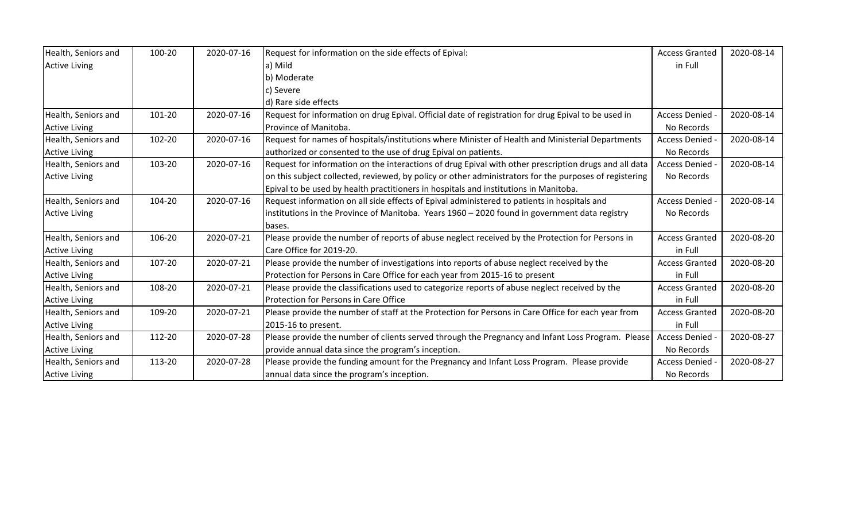| Health, Seniors and  | 100-20 | 2020-07-16 | Request for information on the side effects of Epival:                                                 | <b>Access Granted</b> | 2020-08-14 |
|----------------------|--------|------------|--------------------------------------------------------------------------------------------------------|-----------------------|------------|
| <b>Active Living</b> |        |            | a) Mild                                                                                                | in Full               |            |
|                      |        |            | b) Moderate                                                                                            |                       |            |
|                      |        |            | c) Severe                                                                                              |                       |            |
|                      |        |            | d) Rare side effects                                                                                   |                       |            |
| Health, Seniors and  | 101-20 | 2020-07-16 | Request for information on drug Epival. Official date of registration for drug Epival to be used in    | Access Denied -       | 2020-08-14 |
| <b>Active Living</b> |        |            | Province of Manitoba.                                                                                  | No Records            |            |
| Health, Seniors and  | 102-20 | 2020-07-16 | Request for names of hospitals/institutions where Minister of Health and Ministerial Departments       | Access Denied -       | 2020-08-14 |
| <b>Active Living</b> |        |            | authorized or consented to the use of drug Epival on patients.                                         | No Records            |            |
| Health, Seniors and  | 103-20 | 2020-07-16 | Request for information on the interactions of drug Epival with other prescription drugs and all data  | Access Denied -       | 2020-08-14 |
| <b>Active Living</b> |        |            | on this subject collected, reviewed, by policy or other administrators for the purposes of registering | No Records            |            |
|                      |        |            | Epival to be used by health practitioners in hospitals and institutions in Manitoba.                   |                       |            |
| Health, Seniors and  | 104-20 | 2020-07-16 | Request information on all side effects of Epival administered to patients in hospitals and            | Access Denied -       | 2020-08-14 |
| <b>Active Living</b> |        |            | institutions in the Province of Manitoba. Years 1960 - 2020 found in government data registry          | No Records            |            |
|                      |        |            | bases.                                                                                                 |                       |            |
| Health, Seniors and  | 106-20 | 2020-07-21 | Please provide the number of reports of abuse neglect received by the Protection for Persons in        | <b>Access Granted</b> | 2020-08-20 |
| <b>Active Living</b> |        |            | Care Office for 2019-20.                                                                               | in Full               |            |
| Health, Seniors and  | 107-20 | 2020-07-21 | Please provide the number of investigations into reports of abuse neglect received by the              | <b>Access Granted</b> | 2020-08-20 |
| <b>Active Living</b> |        |            | Protection for Persons in Care Office for each year from 2015-16 to present                            | in Full               |            |
| Health, Seniors and  | 108-20 | 2020-07-21 | Please provide the classifications used to categorize reports of abuse neglect received by the         | <b>Access Granted</b> | 2020-08-20 |
| <b>Active Living</b> |        |            | Protection for Persons in Care Office                                                                  | in Full               |            |
| Health, Seniors and  | 109-20 | 2020-07-21 | Please provide the number of staff at the Protection for Persons in Care Office for each year from     | <b>Access Granted</b> | 2020-08-20 |
| <b>Active Living</b> |        |            | 2015-16 to present.                                                                                    | in Full               |            |
| Health, Seniors and  | 112-20 | 2020-07-28 | Please provide the number of clients served through the Pregnancy and Infant Loss Program. Please      | Access Denied -       | 2020-08-27 |
| <b>Active Living</b> |        |            | provide annual data since the program's inception.                                                     | No Records            |            |
| Health, Seniors and  | 113-20 | 2020-07-28 | Please provide the funding amount for the Pregnancy and Infant Loss Program. Please provide            | <b>Access Denied</b>  | 2020-08-27 |
| <b>Active Living</b> |        |            | annual data since the program's inception.                                                             | No Records            |            |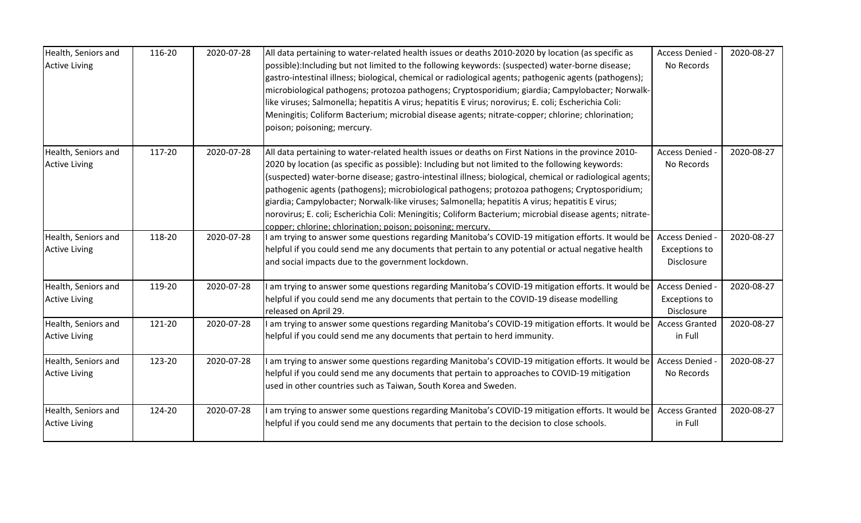| Health, Seniors and  | 116-20 | 2020-07-28 | All data pertaining to water-related health issues or deaths 2010-2020 by location (as specific as       | Access Denied         | 2020-08-27 |
|----------------------|--------|------------|----------------------------------------------------------------------------------------------------------|-----------------------|------------|
| <b>Active Living</b> |        |            | possible): Including but not limited to the following keywords: (suspected) water-borne disease;         | No Records            |            |
|                      |        |            | gastro-intestinal illness; biological, chemical or radiological agents; pathogenic agents (pathogens);   |                       |            |
|                      |        |            | microbiological pathogens; protozoa pathogens; Cryptosporidium; giardia; Campylobacter; Norwalk-         |                       |            |
|                      |        |            | like viruses; Salmonella; hepatitis A virus; hepatitis E virus; norovirus; E. coli; Escherichia Coli:    |                       |            |
|                      |        |            | Meningitis; Coliform Bacterium; microbial disease agents; nitrate-copper; chlorine; chlorination;        |                       |            |
|                      |        |            | poison; poisoning; mercury.                                                                              |                       |            |
| Health, Seniors and  | 117-20 | 2020-07-28 | All data pertaining to water-related health issues or deaths on First Nations in the province 2010-      | <b>Access Denied</b>  | 2020-08-27 |
| <b>Active Living</b> |        |            | 2020 by location (as specific as possible): Including but not limited to the following keywords:         | No Records            |            |
|                      |        |            | (suspected) water-borne disease; gastro-intestinal illness; biological, chemical or radiological agents; |                       |            |
|                      |        |            | pathogenic agents (pathogens); microbiological pathogens; protozoa pathogens; Cryptosporidium;           |                       |            |
|                      |        |            | giardia; Campylobacter; Norwalk-like viruses; Salmonella; hepatitis A virus; hepatitis E virus;          |                       |            |
|                      |        |            | norovirus; E. coli; Escherichia Coli: Meningitis; Coliform Bacterium; microbial disease agents; nitrate- |                       |            |
|                      | 118-20 | 2020-07-28 | copper; chlorine; chlorination; poison; poisoning; mercury.                                              |                       |            |
| Health, Seniors and  |        |            | am trying to answer some questions regarding Manitoba's COVID-19 mitigation efforts. It would be         | Access Denied -       | 2020-08-27 |
| <b>Active Living</b> |        |            | helpful if you could send me any documents that pertain to any potential or actual negative health       | <b>Exceptions to</b>  |            |
|                      |        |            | and social impacts due to the government lockdown.                                                       | Disclosure            |            |
| Health, Seniors and  | 119-20 | 2020-07-28 | am trying to answer some questions regarding Manitoba's COVID-19 mitigation efforts. It would be         | Access Denied -       | 2020-08-27 |
| <b>Active Living</b> |        |            | helpful if you could send me any documents that pertain to the COVID-19 disease modelling                | <b>Exceptions to</b>  |            |
|                      |        |            | released on April 29.                                                                                    | Disclosure            |            |
| Health, Seniors and  | 121-20 | 2020-07-28 | I am trying to answer some questions regarding Manitoba's COVID-19 mitigation efforts. It would be       | <b>Access Granted</b> | 2020-08-27 |
| <b>Active Living</b> |        |            | helpful if you could send me any documents that pertain to herd immunity.                                | in Full               |            |
| Health, Seniors and  | 123-20 | 2020-07-28 | am trying to answer some questions regarding Manitoba's COVID-19 mitigation efforts. It would be         | Access Denied -       | 2020-08-27 |
| <b>Active Living</b> |        |            | helpful if you could send me any documents that pertain to approaches to COVID-19 mitigation             | No Records            |            |
|                      |        |            | used in other countries such as Taiwan, South Korea and Sweden.                                          |                       |            |
| Health, Seniors and  | 124-20 | 2020-07-28 | am trying to answer some questions regarding Manitoba's COVID-19 mitigation efforts. It would be         | <b>Access Granted</b> | 2020-08-27 |
| <b>Active Living</b> |        |            | helpful if you could send me any documents that pertain to the decision to close schools.                | in Full               |            |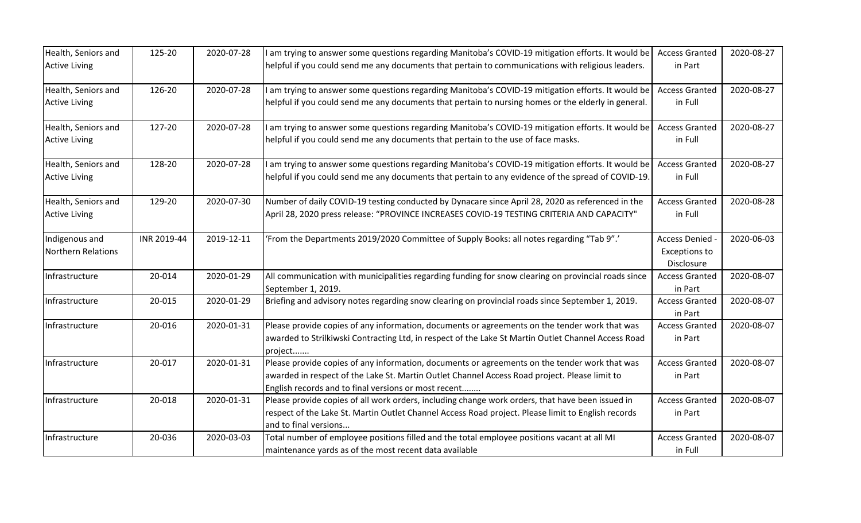| Health, Seniors and  | 125-20      | 2020-07-28 | am trying to answer some questions regarding Manitoba's COVID-19 mitigation efforts. It would be                                                      | <b>Access Granted</b>              | 2020-08-27 |
|----------------------|-------------|------------|-------------------------------------------------------------------------------------------------------------------------------------------------------|------------------------------------|------------|
| <b>Active Living</b> |             |            | helpful if you could send me any documents that pertain to communications with religious leaders.                                                     | in Part                            |            |
| Health, Seniors and  | 126-20      | 2020-07-28 | am trying to answer some questions regarding Manitoba's COVID-19 mitigation efforts. It would be                                                      | <b>Access Granted</b>              | 2020-08-27 |
| <b>Active Living</b> |             |            | helpful if you could send me any documents that pertain to nursing homes or the elderly in general.                                                   | in Full                            |            |
| Health, Seniors and  | 127-20      | 2020-07-28 | am trying to answer some questions regarding Manitoba's COVID-19 mitigation efforts. It would be                                                      | <b>Access Granted</b>              | 2020-08-27 |
| <b>Active Living</b> |             |            | helpful if you could send me any documents that pertain to the use of face masks.                                                                     | in Full                            |            |
| Health, Seniors and  | 128-20      | 2020-07-28 | am trying to answer some questions regarding Manitoba's COVID-19 mitigation efforts. It would be                                                      | <b>Access Granted</b>              | 2020-08-27 |
| <b>Active Living</b> |             |            | helpful if you could send me any documents that pertain to any evidence of the spread of COVID-19.                                                    | in Full                            |            |
| Health, Seniors and  | 129-20      | 2020-07-30 | Number of daily COVID-19 testing conducted by Dynacare since April 28, 2020 as referenced in the                                                      | <b>Access Granted</b>              | 2020-08-28 |
| <b>Active Living</b> |             |            | April 28, 2020 press release: "PROVINCE INCREASES COVID-19 TESTING CRITERIA AND CAPACITY"                                                             | in Full                            |            |
| Indigenous and       | INR 2019-44 | 2019-12-11 | 'From the Departments 2019/2020 Committee of Supply Books: all notes regarding "Tab 9".'                                                              | Access Denied -                    | 2020-06-03 |
| Northern Relations   |             |            |                                                                                                                                                       | <b>Exceptions to</b><br>Disclosure |            |
| Infrastructure       | 20-014      | 2020-01-29 | All communication with municipalities regarding funding for snow clearing on provincial roads since                                                   | <b>Access Granted</b>              | 2020-08-07 |
|                      |             |            | September 1, 2019.                                                                                                                                    | in Part                            |            |
| Infrastructure       | 20-015      | 2020-01-29 | Briefing and advisory notes regarding snow clearing on provincial roads since September 1, 2019.                                                      | <b>Access Granted</b><br>in Part   | 2020-08-07 |
| Infrastructure       | 20-016      | 2020-01-31 | Please provide copies of any information, documents or agreements on the tender work that was                                                         | <b>Access Granted</b>              | 2020-08-07 |
|                      |             |            | awarded to Strilkiwski Contracting Ltd, in respect of the Lake St Martin Outlet Channel Access Road<br>project                                        | in Part                            |            |
| Infrastructure       | 20-017      | 2020-01-31 | Please provide copies of any information, documents or agreements on the tender work that was                                                         | <b>Access Granted</b>              | 2020-08-07 |
|                      |             |            | awarded in respect of the Lake St. Martin Outlet Channel Access Road project. Please limit to<br>English records and to final versions or most recent | in Part                            |            |
| Infrastructure       | 20-018      | 2020-01-31 | Please provide copies of all work orders, including change work orders, that have been issued in                                                      | <b>Access Granted</b>              | 2020-08-07 |
|                      |             |            | respect of the Lake St. Martin Outlet Channel Access Road project. Please limit to English records                                                    | in Part                            |            |
|                      |             |            | and to final versions                                                                                                                                 |                                    |            |
| Infrastructure       | 20-036      | 2020-03-03 | Total number of employee positions filled and the total employee positions vacant at all MI                                                           | <b>Access Granted</b>              | 2020-08-07 |
|                      |             |            | maintenance yards as of the most recent data available                                                                                                | in Full                            |            |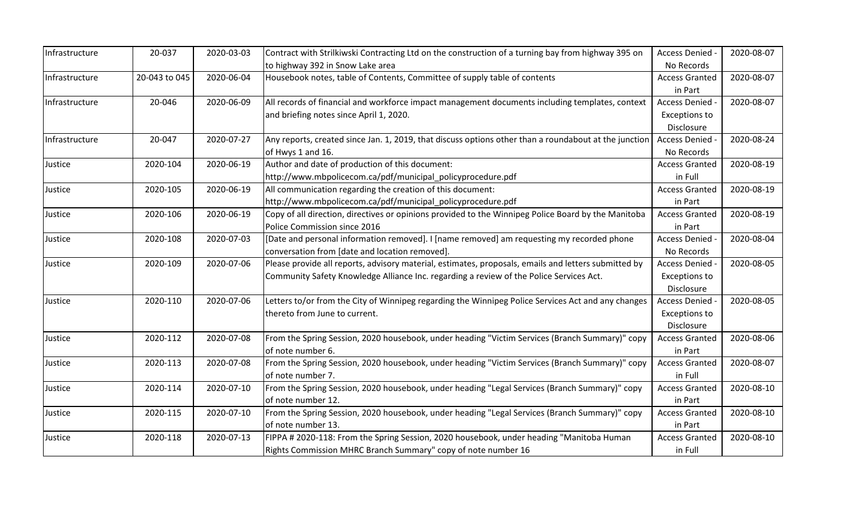| Infrastructure | 20-037        | 2020-03-03 | Contract with Strilkiwski Contracting Ltd on the construction of a turning bay from highway 395 on    | Access Denied -       | 2020-08-07 |
|----------------|---------------|------------|-------------------------------------------------------------------------------------------------------|-----------------------|------------|
|                |               |            | to highway 392 in Snow Lake area                                                                      | No Records            |            |
| Infrastructure | 20-043 to 045 | 2020-06-04 | Housebook notes, table of Contents, Committee of supply table of contents                             | <b>Access Granted</b> | 2020-08-07 |
|                |               |            |                                                                                                       | in Part               |            |
| Infrastructure | 20-046        | 2020-06-09 | All records of financial and workforce impact management documents including templates, context       | Access Denied -       | 2020-08-07 |
|                |               |            | and briefing notes since April 1, 2020.                                                               | <b>Exceptions to</b>  |            |
|                |               |            |                                                                                                       | Disclosure            |            |
| Infrastructure | 20-047        | 2020-07-27 | Any reports, created since Jan. 1, 2019, that discuss options other than a roundabout at the junction | Access Denied -       | 2020-08-24 |
|                |               |            | of Hwys 1 and 16.                                                                                     | No Records            |            |
| Justice        | 2020-104      | 2020-06-19 | Author and date of production of this document:                                                       | <b>Access Granted</b> | 2020-08-19 |
|                |               |            | http://www.mbpolicecom.ca/pdf/municipal_policyprocedure.pdf                                           | in Full               |            |
| Justice        | 2020-105      | 2020-06-19 | All communication regarding the creation of this document:                                            | <b>Access Granted</b> | 2020-08-19 |
|                |               |            | http://www.mbpolicecom.ca/pdf/municipal_policyprocedure.pdf                                           | in Part               |            |
| Justice        | 2020-106      | 2020-06-19 | Copy of all direction, directives or opinions provided to the Winnipeg Police Board by the Manitoba   | <b>Access Granted</b> | 2020-08-19 |
|                |               |            | Police Commission since 2016                                                                          | in Part               |            |
| Justice        | 2020-108      | 2020-07-03 | [Date and personal information removed]. I [name removed] am requesting my recorded phone             | Access Denied -       | 2020-08-04 |
|                |               |            | conversation from [date and location removed].                                                        | No Records            |            |
| Justice        | 2020-109      | 2020-07-06 | Please provide all reports, advisory material, estimates, proposals, emails and letters submitted by  | Access Denied -       | 2020-08-05 |
|                |               |            | Community Safety Knowledge Alliance Inc. regarding a review of the Police Services Act.               | <b>Exceptions to</b>  |            |
|                |               |            |                                                                                                       | Disclosure            |            |
| Justice        | 2020-110      | 2020-07-06 | Letters to/or from the City of Winnipeg regarding the Winnipeg Police Services Act and any changes    | Access Denied -       | 2020-08-05 |
|                |               |            | thereto from June to current.                                                                         | <b>Exceptions to</b>  |            |
|                |               |            |                                                                                                       | Disclosure            |            |
| Justice        | 2020-112      | 2020-07-08 | From the Spring Session, 2020 housebook, under heading "Victim Services (Branch Summary)" copy        | <b>Access Granted</b> | 2020-08-06 |
|                |               |            | of note number 6.                                                                                     | in Part               |            |
| Justice        | 2020-113      | 2020-07-08 | From the Spring Session, 2020 housebook, under heading "Victim Services (Branch Summary)" copy        | <b>Access Granted</b> | 2020-08-07 |
|                |               |            | of note number 7.                                                                                     | in Full               |            |
| Justice        | 2020-114      | 2020-07-10 | From the Spring Session, 2020 housebook, under heading "Legal Services (Branch Summary)" copy         | <b>Access Granted</b> | 2020-08-10 |
|                |               |            | of note number 12.                                                                                    | in Part               |            |
| Justice        | 2020-115      | 2020-07-10 | From the Spring Session, 2020 housebook, under heading "Legal Services (Branch Summary)" copy         | <b>Access Granted</b> | 2020-08-10 |
|                |               |            | of note number 13.                                                                                    | in Part               |            |
| Justice        | 2020-118      | 2020-07-13 | FIPPA #2020-118: From the Spring Session, 2020 housebook, under heading "Manitoba Human               | <b>Access Granted</b> | 2020-08-10 |
|                |               |            | Rights Commission MHRC Branch Summary" copy of note number 16                                         | in Full               |            |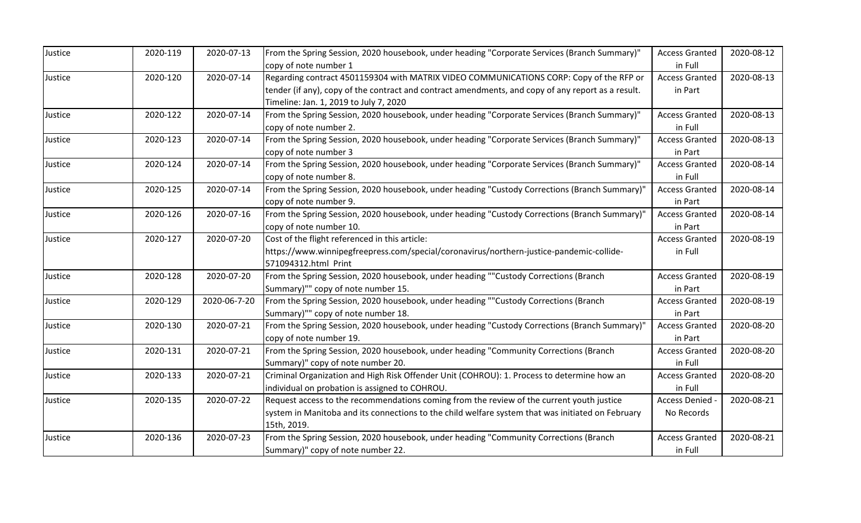| Justice | 2020-119 | 2020-07-13   | From the Spring Session, 2020 housebook, under heading "Corporate Services (Branch Summary)"       | <b>Access Granted</b> | 2020-08-12 |
|---------|----------|--------------|----------------------------------------------------------------------------------------------------|-----------------------|------------|
|         |          |              | copy of note number 1                                                                              | in Full               |            |
| Justice | 2020-120 | 2020-07-14   | Regarding contract 4501159304 with MATRIX VIDEO COMMUNICATIONS CORP: Copy of the RFP or            | <b>Access Granted</b> | 2020-08-13 |
|         |          |              | tender (if any), copy of the contract and contract amendments, and copy of any report as a result. | in Part               |            |
|         |          |              | Timeline: Jan. 1, 2019 to July 7, 2020                                                             |                       |            |
| Justice | 2020-122 | 2020-07-14   | From the Spring Session, 2020 housebook, under heading "Corporate Services (Branch Summary)"       | <b>Access Granted</b> | 2020-08-13 |
|         |          |              | copy of note number 2.                                                                             | in Full               |            |
| Justice | 2020-123 | 2020-07-14   | From the Spring Session, 2020 housebook, under heading "Corporate Services (Branch Summary)"       | <b>Access Granted</b> | 2020-08-13 |
|         |          |              | copy of note number 3                                                                              | in Part               |            |
| Justice | 2020-124 | 2020-07-14   | From the Spring Session, 2020 housebook, under heading "Corporate Services (Branch Summary)"       | <b>Access Granted</b> | 2020-08-14 |
|         |          |              | copy of note number 8.                                                                             | in Full               |            |
| Justice | 2020-125 | 2020-07-14   | From the Spring Session, 2020 housebook, under heading "Custody Corrections (Branch Summary)"      | <b>Access Granted</b> | 2020-08-14 |
|         |          |              | copy of note number 9.                                                                             | in Part               |            |
| Justice | 2020-126 | 2020-07-16   | From the Spring Session, 2020 housebook, under heading "Custody Corrections (Branch Summary)"      | <b>Access Granted</b> | 2020-08-14 |
|         |          |              | copy of note number 10.                                                                            | in Part               |            |
| Justice | 2020-127 | 2020-07-20   | Cost of the flight referenced in this article:                                                     | <b>Access Granted</b> | 2020-08-19 |
|         |          |              | https://www.winnipegfreepress.com/special/coronavirus/northern-justice-pandemic-collide-           | in Full               |            |
|         |          |              | 571094312.html Print                                                                               |                       |            |
| Justice | 2020-128 | 2020-07-20   | From the Spring Session, 2020 housebook, under heading ""Custody Corrections (Branch               | <b>Access Granted</b> | 2020-08-19 |
|         |          |              | Summary)"" copy of note number 15.                                                                 | in Part               |            |
| Justice | 2020-129 | 2020-06-7-20 | From the Spring Session, 2020 housebook, under heading ""Custody Corrections (Branch               | <b>Access Granted</b> | 2020-08-19 |
|         |          |              | Summary)"" copy of note number 18.                                                                 | in Part               |            |
| Justice | 2020-130 | 2020-07-21   | From the Spring Session, 2020 housebook, under heading "Custody Corrections (Branch Summary)"      | <b>Access Granted</b> | 2020-08-20 |
|         |          |              | copy of note number 19.                                                                            | in Part               |            |
| Justice | 2020-131 | 2020-07-21   | From the Spring Session, 2020 housebook, under heading "Community Corrections (Branch              | <b>Access Granted</b> | 2020-08-20 |
|         |          |              | Summary)" copy of note number 20.                                                                  | in Full               |            |
| Justice | 2020-133 | 2020-07-21   | Criminal Organization and High Risk Offender Unit (COHROU): 1. Process to determine how an         | <b>Access Granted</b> | 2020-08-20 |
|         |          |              | individual on probation is assigned to COHROU.                                                     | in Full               |            |
| Justice | 2020-135 | 2020-07-22   | Request access to the recommendations coming from the review of the current youth justice          | Access Denied         | 2020-08-21 |
|         |          |              | system in Manitoba and its connections to the child welfare system that was initiated on February  | No Records            |            |
|         |          |              | 15th, 2019.                                                                                        |                       |            |
| Justice | 2020-136 | 2020-07-23   | From the Spring Session, 2020 housebook, under heading "Community Corrections (Branch              | <b>Access Granted</b> | 2020-08-21 |
|         |          |              | Summary)" copy of note number 22.                                                                  | in Full               |            |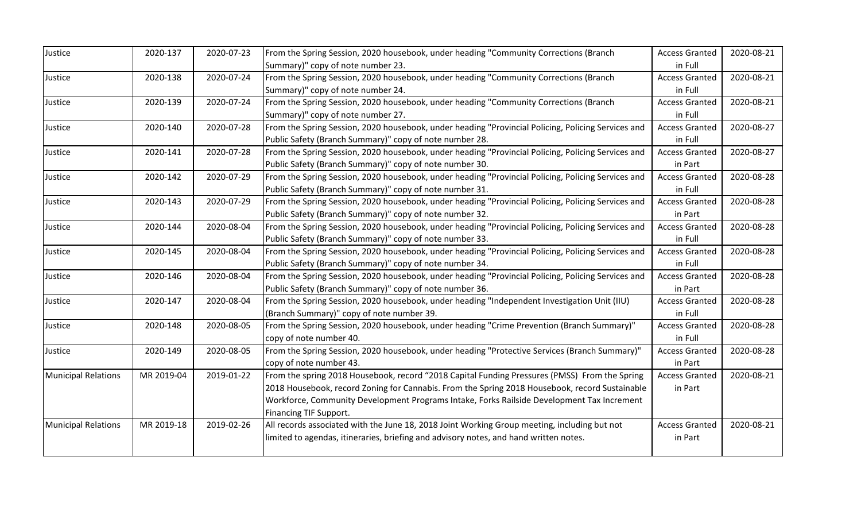| Justice                    | 2020-137   | 2020-07-23 | From the Spring Session, 2020 housebook, under heading "Community Corrections (Branch              | <b>Access Granted</b> | 2020-08-21 |
|----------------------------|------------|------------|----------------------------------------------------------------------------------------------------|-----------------------|------------|
|                            |            |            | Summary)" copy of note number 23.                                                                  | in Full               |            |
| Justice                    | 2020-138   | 2020-07-24 | From the Spring Session, 2020 housebook, under heading "Community Corrections (Branch              | <b>Access Granted</b> | 2020-08-21 |
|                            |            |            | Summary)" copy of note number 24.                                                                  | in Full               |            |
| Justice                    | 2020-139   | 2020-07-24 | From the Spring Session, 2020 housebook, under heading "Community Corrections (Branch              | <b>Access Granted</b> | 2020-08-21 |
|                            |            |            | Summary)" copy of note number 27.                                                                  | in Full               |            |
| Justice                    | 2020-140   | 2020-07-28 | From the Spring Session, 2020 housebook, under heading "Provincial Policing, Policing Services and | <b>Access Granted</b> | 2020-08-27 |
|                            |            |            | Public Safety (Branch Summary)" copy of note number 28.                                            | in Full               |            |
| Justice                    | 2020-141   | 2020-07-28 | From the Spring Session, 2020 housebook, under heading "Provincial Policing, Policing Services and | <b>Access Granted</b> | 2020-08-27 |
|                            |            |            | Public Safety (Branch Summary)" copy of note number 30.                                            | in Part               |            |
| Justice                    | 2020-142   | 2020-07-29 | From the Spring Session, 2020 housebook, under heading "Provincial Policing, Policing Services and | <b>Access Granted</b> | 2020-08-28 |
|                            |            |            | Public Safety (Branch Summary)" copy of note number 31.                                            | in Full               |            |
| Justice                    | 2020-143   | 2020-07-29 | From the Spring Session, 2020 housebook, under heading "Provincial Policing, Policing Services and | <b>Access Granted</b> | 2020-08-28 |
|                            |            |            | Public Safety (Branch Summary)" copy of note number 32.                                            | in Part               |            |
| Justice                    | 2020-144   | 2020-08-04 | From the Spring Session, 2020 housebook, under heading "Provincial Policing, Policing Services and | <b>Access Granted</b> | 2020-08-28 |
|                            |            |            | Public Safety (Branch Summary)" copy of note number 33.                                            | in Full               |            |
| Justice                    | 2020-145   | 2020-08-04 | From the Spring Session, 2020 housebook, under heading "Provincial Policing, Policing Services and | <b>Access Granted</b> | 2020-08-28 |
|                            |            |            | Public Safety (Branch Summary)" copy of note number 34.                                            | in Full               |            |
| Justice                    | 2020-146   | 2020-08-04 | From the Spring Session, 2020 housebook, under heading "Provincial Policing, Policing Services and | <b>Access Granted</b> | 2020-08-28 |
|                            |            |            | Public Safety (Branch Summary)" copy of note number 36.                                            | in Part               |            |
| Justice                    | 2020-147   | 2020-08-04 | From the Spring Session, 2020 housebook, under heading "Independent Investigation Unit (IIU)       | <b>Access Granted</b> | 2020-08-28 |
|                            |            |            | (Branch Summary)" copy of note number 39.                                                          | in Full               |            |
| Justice                    | 2020-148   | 2020-08-05 | From the Spring Session, 2020 housebook, under heading "Crime Prevention (Branch Summary)"         | <b>Access Granted</b> | 2020-08-28 |
|                            |            |            | copy of note number 40.                                                                            | in Full               |            |
| Justice                    | 2020-149   | 2020-08-05 | From the Spring Session, 2020 housebook, under heading "Protective Services (Branch Summary)"      | <b>Access Granted</b> | 2020-08-28 |
|                            |            |            | copy of note number 43.                                                                            | in Part               |            |
| <b>Municipal Relations</b> | MR 2019-04 | 2019-01-22 | From the spring 2018 Housebook, record "2018 Capital Funding Pressures (PMSS) From the Spring      | <b>Access Granted</b> | 2020-08-21 |
|                            |            |            | 2018 Housebook, record Zoning for Cannabis. From the Spring 2018 Housebook, record Sustainable     | in Part               |            |
|                            |            |            | Workforce, Community Development Programs Intake, Forks Railside Development Tax Increment         |                       |            |
|                            |            |            | Financing TIF Support.                                                                             |                       |            |
| <b>Municipal Relations</b> | MR 2019-18 | 2019-02-26 | All records associated with the June 18, 2018 Joint Working Group meeting, including but not       | <b>Access Granted</b> | 2020-08-21 |
|                            |            |            | limited to agendas, itineraries, briefing and advisory notes, and hand written notes.              | in Part               |            |
|                            |            |            |                                                                                                    |                       |            |